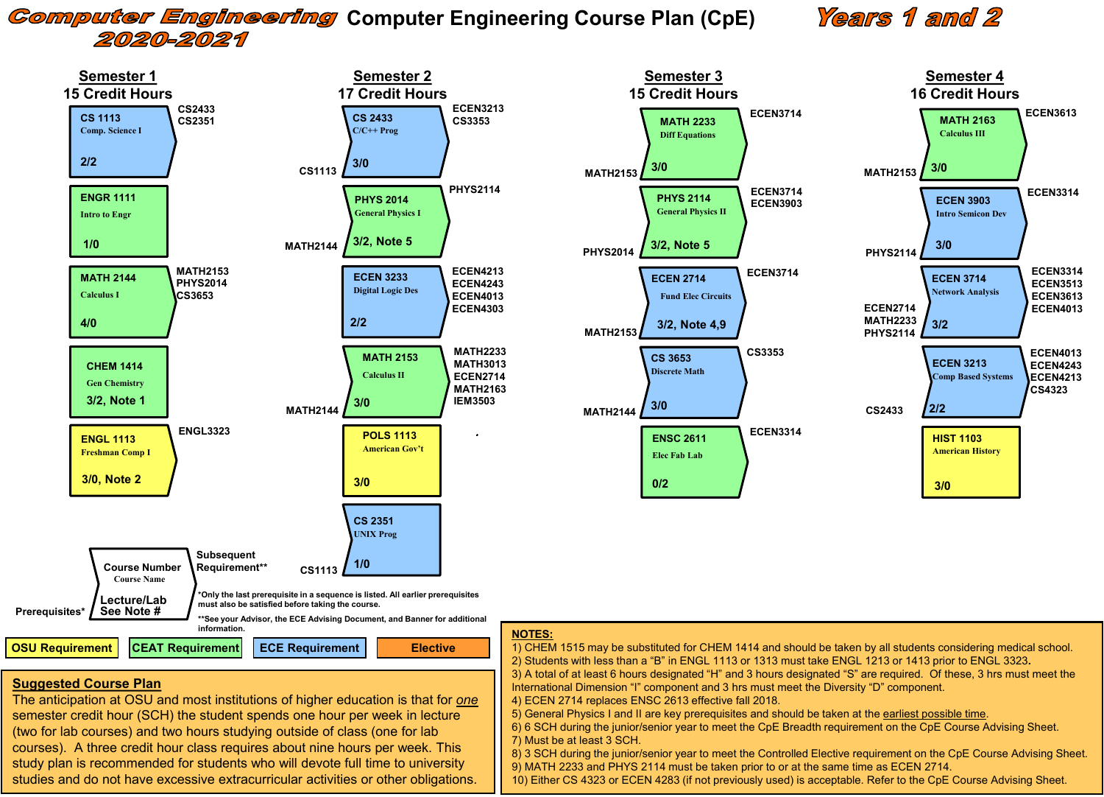## **Computer Engineering Computer Engineering Course Plan (CpE)** 2020-2021

(two for lab courses) and two hours studying outside of class (one for lab courses). A three credit hour class requires about nine hours per week. This study plan is recommended for students who will devote full time to university studies and do not have excessive extracurricular activities or other obligations.

## **Years 1 and 2**



5) General Physics I and II are key prerequisites and should be taken at the earliest possible time.

6) 6 SCH during the junior/senior year to meet the CpE Breadth requirement on the CpE Course Advising Sheet. 7) Must be at least 3 SCH.

8) 3 SCH during the junior/senior year to meet the Controlled Elective requirement on the CpE Course Advising Sheet. 9) MATH 2233 and PHYS 2114 must be taken prior to or at the same time as ECEN 2714.

10) Either CS 4323 or ECEN 4283 (if not previously used) is acceptable. Refer to the CpE Course Advising Sheet.